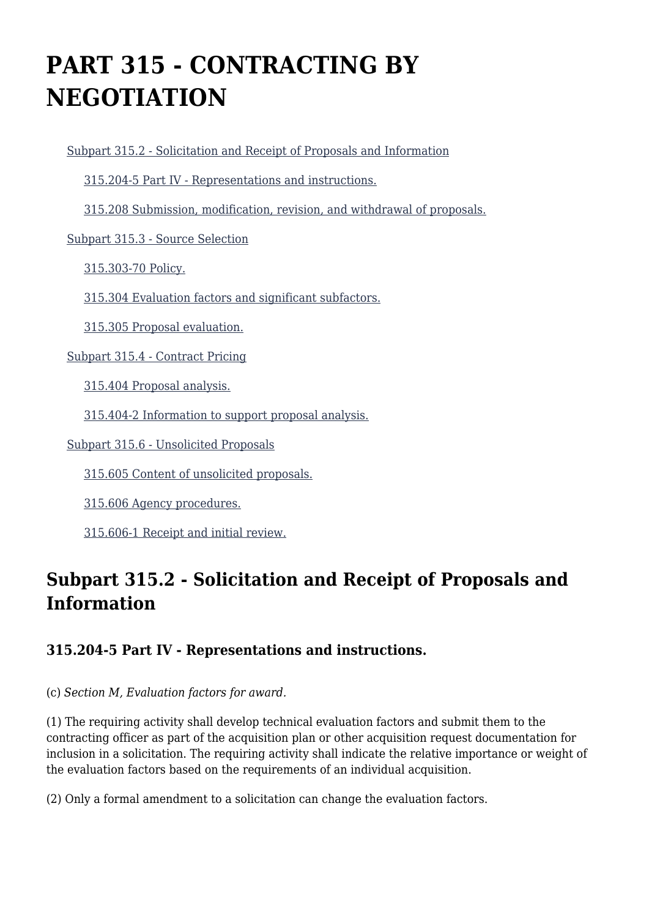# **PART 315 - CONTRACTING BY NEGOTIATION**

[Subpart 315.2 - Solicitation and Receipt of Proposals and Information](https://origin-www.acquisition.gov/%5Brp:link:hhsar-part-315%5D#Subpart_315_2_T48_4013161)

[315.204-5 Part IV - Representations and instructions.](https://origin-www.acquisition.gov/%5Brp:link:hhsar-part-315%5D#Section_315_204_5_T48_401316111)

[315.208 Submission, modification, revision, and withdrawal of proposals.](https://origin-www.acquisition.gov/%5Brp:link:hhsar-part-315%5D#Section_315_208_T48_401316112)

[Subpart 315.3 - Source Selection](https://origin-www.acquisition.gov/%5Brp:link:hhsar-part-315%5D#Subpart_315_3_T48_4013162)

[315.303-70 Policy.](https://origin-www.acquisition.gov/%5Brp:link:hhsar-part-315%5D#Section_315_303_70_T48_401316211)

[315.304 Evaluation factors and significant subfactors.](https://origin-www.acquisition.gov/%5Brp:link:hhsar-part-315%5D#Section_315_304_T48_401316212)

[315.305 Proposal evaluation.](https://origin-www.acquisition.gov/%5Brp:link:hhsar-part-315%5D#Section_315_305_T48_401316213)

[Subpart 315.4 - Contract Pricing](https://origin-www.acquisition.gov/%5Brp:link:hhsar-part-315%5D#Subpart_315_4_T48_4013163)

[315.404 Proposal analysis.](https://origin-www.acquisition.gov/%5Brp:link:hhsar-part-315%5D#Section_315_404_T48_401316311)

[315.404-2 Information to support proposal analysis.](https://origin-www.acquisition.gov/%5Brp:link:hhsar-part-315%5D#Section_315_404_2_T48_401316312)

[Subpart 315.6 - Unsolicited Proposals](https://origin-www.acquisition.gov/%5Brp:link:hhsar-part-315%5D#Subpart_315_6_T48_4013164)

[315.605 Content of unsolicited proposals.](https://origin-www.acquisition.gov/%5Brp:link:hhsar-part-315%5D#Section_315_605_T48_401316411)

[315.606 Agency procedures.](https://origin-www.acquisition.gov/%5Brp:link:hhsar-part-315%5D#Section_315_606_T48_401316412)

[315.606-1 Receipt and initial review.](https://origin-www.acquisition.gov/%5Brp:link:hhsar-part-315%5D#Section_315_606_1_T48_401316413)

# **Subpart 315.2 - Solicitation and Receipt of Proposals and Information**

### **315.204-5 Part IV - Representations and instructions.**

(c) *Section M, Evaluation factors for award.*

(1) The requiring activity shall develop technical evaluation factors and submit them to the contracting officer as part of the acquisition plan or other acquisition request documentation for inclusion in a solicitation. The requiring activity shall indicate the relative importance or weight of the evaluation factors based on the requirements of an individual acquisition.

(2) Only a formal amendment to a solicitation can change the evaluation factors.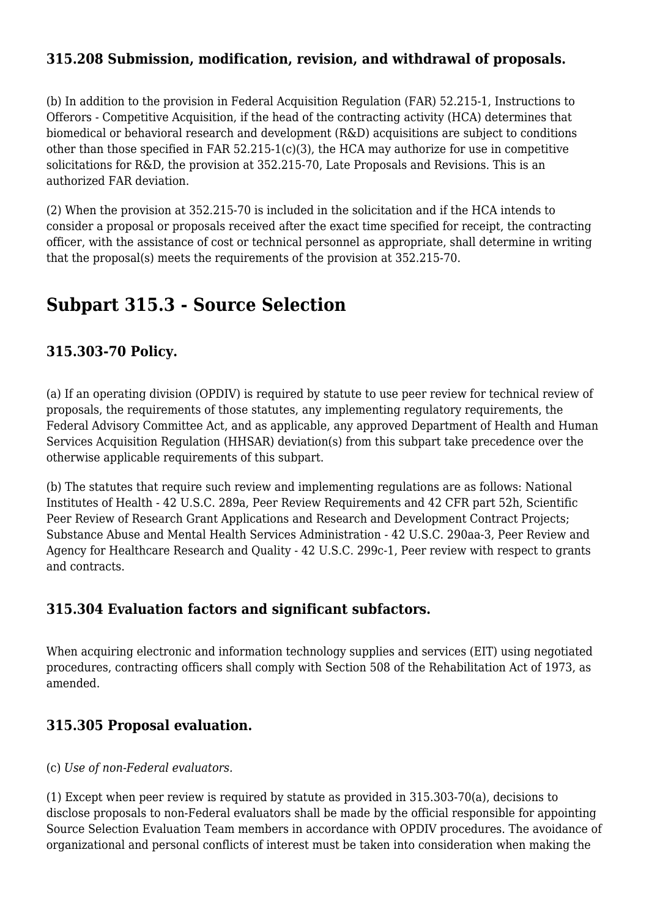### **315.208 Submission, modification, revision, and withdrawal of proposals.**

(b) In addition to the provision in Federal Acquisition Regulation (FAR) 52.215-1, Instructions to Offerors - Competitive Acquisition, if the head of the contracting activity (HCA) determines that biomedical or behavioral research and development (R&D) acquisitions are subject to conditions other than those specified in FAR 52.215-1(c)(3), the HCA may authorize for use in competitive solicitations for R&D, the provision at 352.215-70, Late Proposals and Revisions. This is an authorized FAR deviation.

(2) When the provision at 352.215-70 is included in the solicitation and if the HCA intends to consider a proposal or proposals received after the exact time specified for receipt, the contracting officer, with the assistance of cost or technical personnel as appropriate, shall determine in writing that the proposal(s) meets the requirements of the provision at 352.215-70.

# **Subpart 315.3 - Source Selection**

### **315.303-70 Policy.**

(a) If an operating division (OPDIV) is required by statute to use peer review for technical review of proposals, the requirements of those statutes, any implementing regulatory requirements, the Federal Advisory Committee Act, and as applicable, any approved Department of Health and Human Services Acquisition Regulation (HHSAR) deviation(s) from this subpart take precedence over the otherwise applicable requirements of this subpart.

(b) The statutes that require such review and implementing regulations are as follows: National Institutes of Health - 42 U.S.C. 289a, Peer Review Requirements and 42 CFR part 52h, Scientific Peer Review of Research Grant Applications and Research and Development Contract Projects; Substance Abuse and Mental Health Services Administration - 42 U.S.C. 290aa-3, Peer Review and Agency for Healthcare Research and Quality - 42 U.S.C. 299c-1, Peer review with respect to grants and contracts.

### **315.304 Evaluation factors and significant subfactors.**

When acquiring electronic and information technology supplies and services (EIT) using negotiated procedures, contracting officers shall comply with Section 508 of the Rehabilitation Act of 1973, as amended.

## **315.305 Proposal evaluation.**

(c) *Use of non-Federal evaluators.*

(1) Except when peer review is required by statute as provided in 315.303-70(a), decisions to disclose proposals to non-Federal evaluators shall be made by the official responsible for appointing Source Selection Evaluation Team members in accordance with OPDIV procedures. The avoidance of organizational and personal conflicts of interest must be taken into consideration when making the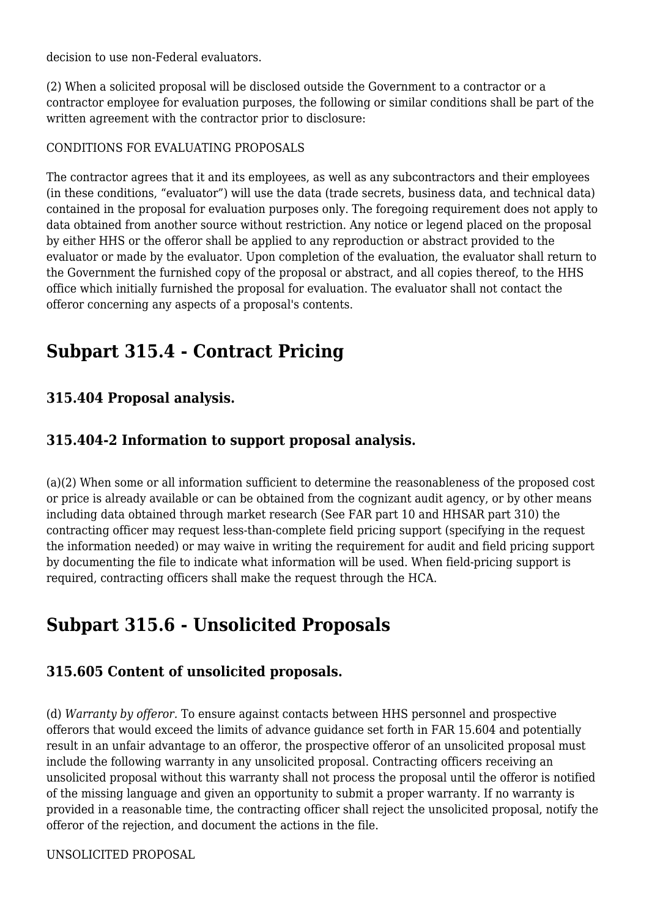decision to use non-Federal evaluators.

(2) When a solicited proposal will be disclosed outside the Government to a contractor or a contractor employee for evaluation purposes, the following or similar conditions shall be part of the written agreement with the contractor prior to disclosure:

#### CONDITIONS FOR EVALUATING PROPOSALS

The contractor agrees that it and its employees, as well as any subcontractors and their employees (in these conditions, "evaluator") will use the data (trade secrets, business data, and technical data) contained in the proposal for evaluation purposes only. The foregoing requirement does not apply to data obtained from another source without restriction. Any notice or legend placed on the proposal by either HHS or the offeror shall be applied to any reproduction or abstract provided to the evaluator or made by the evaluator. Upon completion of the evaluation, the evaluator shall return to the Government the furnished copy of the proposal or abstract, and all copies thereof, to the HHS office which initially furnished the proposal for evaluation. The evaluator shall not contact the offeror concerning any aspects of a proposal's contents.

# **Subpart 315.4 - Contract Pricing**

### **315.404 Proposal analysis.**

### **315.404-2 Information to support proposal analysis.**

(a)(2) When some or all information sufficient to determine the reasonableness of the proposed cost or price is already available or can be obtained from the cognizant audit agency, or by other means including data obtained through market research (See FAR part 10 and HHSAR part 310) the contracting officer may request less-than-complete field pricing support (specifying in the request the information needed) or may waive in writing the requirement for audit and field pricing support by documenting the file to indicate what information will be used. When field-pricing support is required, contracting officers shall make the request through the HCA.

# **Subpart 315.6 - Unsolicited Proposals**

## **315.605 Content of unsolicited proposals.**

(d) *Warranty by offeror.* To ensure against contacts between HHS personnel and prospective offerors that would exceed the limits of advance guidance set forth in FAR 15.604 and potentially result in an unfair advantage to an offeror, the prospective offeror of an unsolicited proposal must include the following warranty in any unsolicited proposal. Contracting officers receiving an unsolicited proposal without this warranty shall not process the proposal until the offeror is notified of the missing language and given an opportunity to submit a proper warranty. If no warranty is provided in a reasonable time, the contracting officer shall reject the unsolicited proposal, notify the offeror of the rejection, and document the actions in the file.

#### UNSOLICITED PROPOSAL